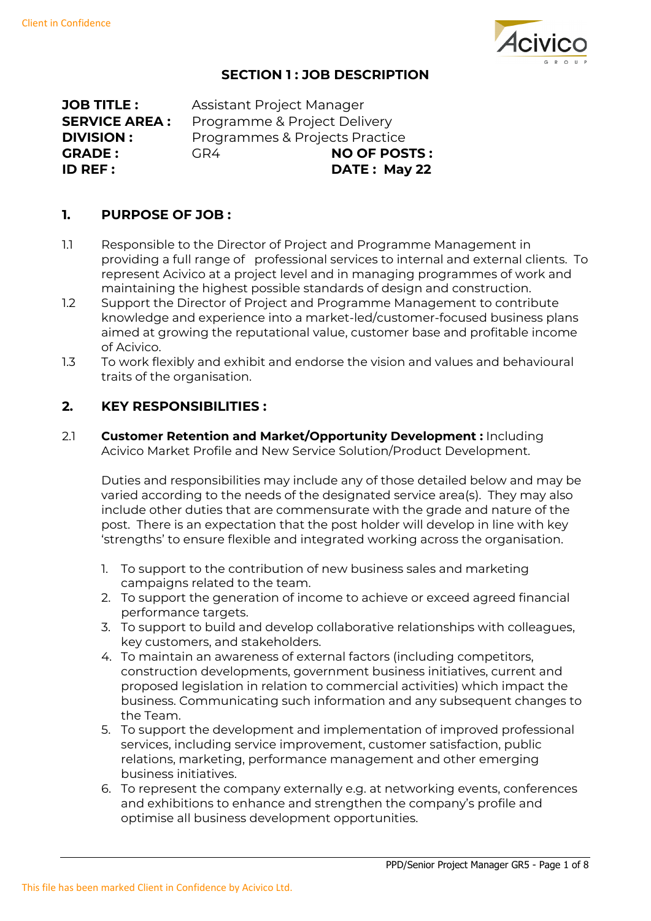

# **SECTION 1 : JOB DESCRIPTION**

**JOB TITLE :** Assistant Project Manager **SERVICE AREA :** Programme & Project Delivery **DIVISION :** Programmes & Projects Practice **GRADE :** GR4 **NO OF POSTS : ID REF : DATE : May 22**

## **1. PURPOSE OF JOB :**

- 1.1 Responsible to the Director of Project and Programme Management in providing a full range of professional services to internal and external clients. To represent Acivico at a project level and in managing programmes of work and maintaining the highest possible standards of design and construction.
- 1.2 Support the Director of Project and Programme Management to contribute knowledge and experience into a market-led/customer-focused business plans aimed at growing the reputational value, customer base and profitable income of Acivico.
- 1.3 To work flexibly and exhibit and endorse the vision and values and behavioural traits of the organisation.

# **2. KEY RESPONSIBILITIES :**

2.1 **Customer Retention and Market/Opportunity Development :** Including Acivico Market Profile and New Service Solution/Product Development.

Duties and responsibilities may include any of those detailed below and may be varied according to the needs of the designated service area(s). They may also include other duties that are commensurate with the grade and nature of the post. There is an expectation that the post holder will develop in line with key 'strengths' to ensure flexible and integrated working across the organisation.

- 1. To support to the contribution of new business sales and marketing campaigns related to the team.
- 2. To support the generation of income to achieve or exceed agreed financial performance targets.
- 3. To support to build and develop collaborative relationships with colleagues, key customers, and stakeholders.
- 4. To maintain an awareness of external factors (including competitors, construction developments, government business initiatives, current and proposed legislation in relation to commercial activities) which impact the business. Communicating such information and any subsequent changes to the Team.
- 5. To support the development and implementation of improved professional services, including service improvement, customer satisfaction, public relations, marketing, performance management and other emerging business initiatives.
- 6. To represent the company externally e.g. at networking events, conferences and exhibitions to enhance and strengthen the company's profile and optimise all business development opportunities.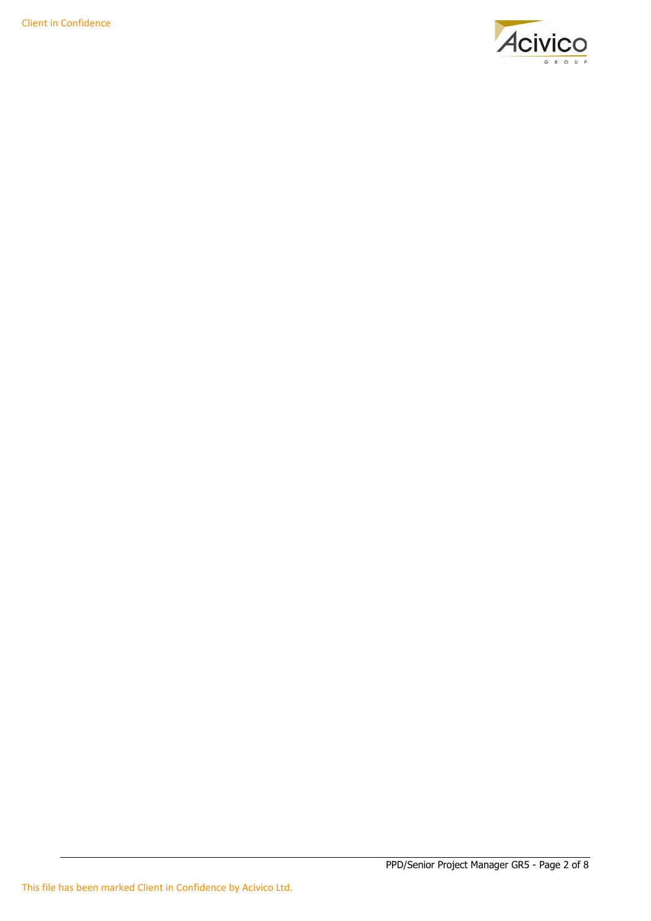Client in Confidence

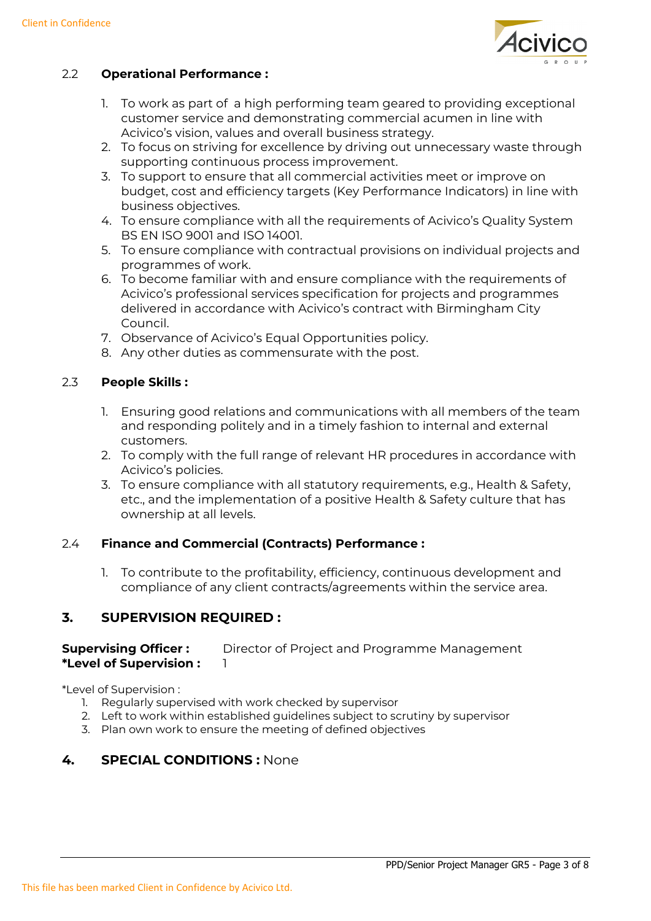

### 2.2 **Operational Performance :**

- 1. To work as part of a high performing team geared to providing exceptional customer service and demonstrating commercial acumen in line with Acivico's vision, values and overall business strategy.
- 2. To focus on striving for excellence by driving out unnecessary waste through supporting continuous process improvement.
- 3. To support to ensure that all commercial activities meet or improve on budget, cost and efficiency targets (Key Performance Indicators) in line with business objectives.
- 4. To ensure compliance with all the requirements of Acivico's Quality System BS EN ISO 9001 and ISO 14001.
- 5. To ensure compliance with contractual provisions on individual projects and programmes of work.
- 6. To become familiar with and ensure compliance with the requirements of Acivico's professional services specification for projects and programmes delivered in accordance with Acivico's contract with Birmingham City Council.
- 7. Observance of Acivico's Equal Opportunities policy.
- 8. Any other duties as commensurate with the post.

#### 2.3 **People Skills :**

- 1. Ensuring good relations and communications with all members of the team and responding politely and in a timely fashion to internal and external customers.
- 2. To comply with the full range of relevant HR procedures in accordance with Acivico's policies.
- 3. To ensure compliance with all statutory requirements, e.g., Health & Safety, etc., and the implementation of a positive Health & Safety culture that has ownership at all levels.

### 2.4 **Finance and Commercial (Contracts) Performance :**

1. To contribute to the profitability, efficiency, continuous development and compliance of any client contracts/agreements within the service area.

# **3. SUPERVISION REQUIRED :**

#### **Supervising Officer:** Director of Project and Programme Management **\*Level of Supervision :** 1

\*Level of Supervision :

- 1. Regularly supervised with work checked by supervisor
- 2. Left to work within established guidelines subject to scrutiny by supervisor
- 3. Plan own work to ensure the meeting of defined objectives

# **4. SPECIAL CONDITIONS :** None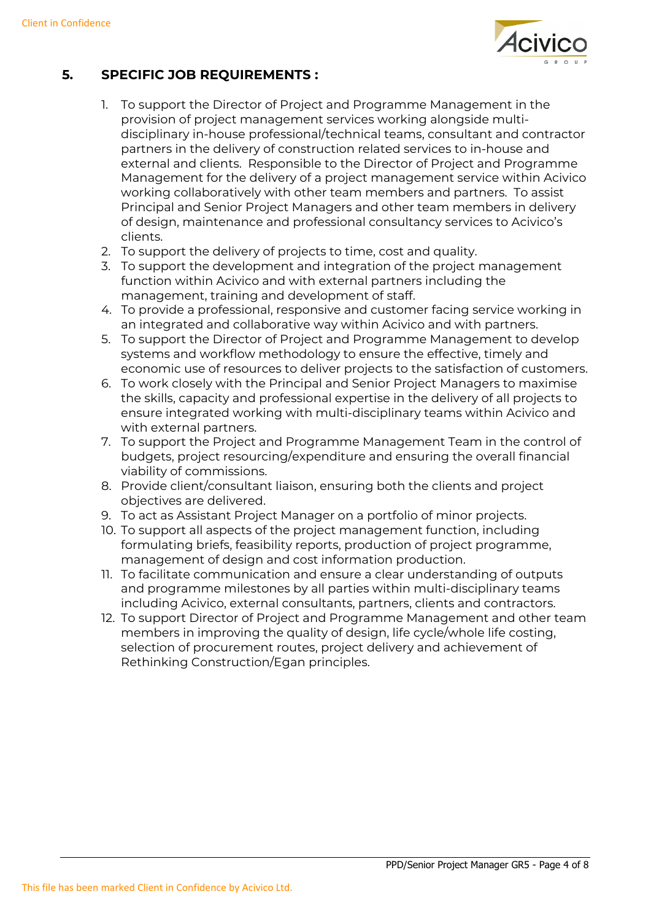

# **5. SPECIFIC JOB REQUIREMENTS :**

- 1. To support the Director of Project and Programme Management in the provision of project management services working alongside multidisciplinary in-house professional/technical teams, consultant and contractor partners in the delivery of construction related services to in-house and external and clients. Responsible to the Director of Project and Programme Management for the delivery of a project management service within Acivico working collaboratively with other team members and partners. To assist Principal and Senior Project Managers and other team members in delivery of design, maintenance and professional consultancy services to Acivico's clients.
- 2. To support the delivery of projects to time, cost and quality.
- 3. To support the development and integration of the project management function within Acivico and with external partners including the management, training and development of staff.
- 4. To provide a professional, responsive and customer facing service working in an integrated and collaborative way within Acivico and with partners.
- 5. To support the Director of Project and Programme Management to develop systems and workflow methodology to ensure the effective, timely and economic use of resources to deliver projects to the satisfaction of customers.
- 6. To work closely with the Principal and Senior Project Managers to maximise the skills, capacity and professional expertise in the delivery of all projects to ensure integrated working with multi-disciplinary teams within Acivico and with external partners.
- 7. To support the Project and Programme Management Team in the control of budgets, project resourcing/expenditure and ensuring the overall financial viability of commissions.
- 8. Provide client/consultant liaison, ensuring both the clients and project objectives are delivered.
- 9. To act as Assistant Project Manager on a portfolio of minor projects.
- 10. To support all aspects of the project management function, including formulating briefs, feasibility reports, production of project programme, management of design and cost information production.
- 11. To facilitate communication and ensure a clear understanding of outputs and programme milestones by all parties within multi-disciplinary teams including Acivico, external consultants, partners, clients and contractors.
- 12. To support Director of Project and Programme Management and other team members in improving the quality of design, life cycle/whole life costing, selection of procurement routes, project delivery and achievement of Rethinking Construction/Egan principles.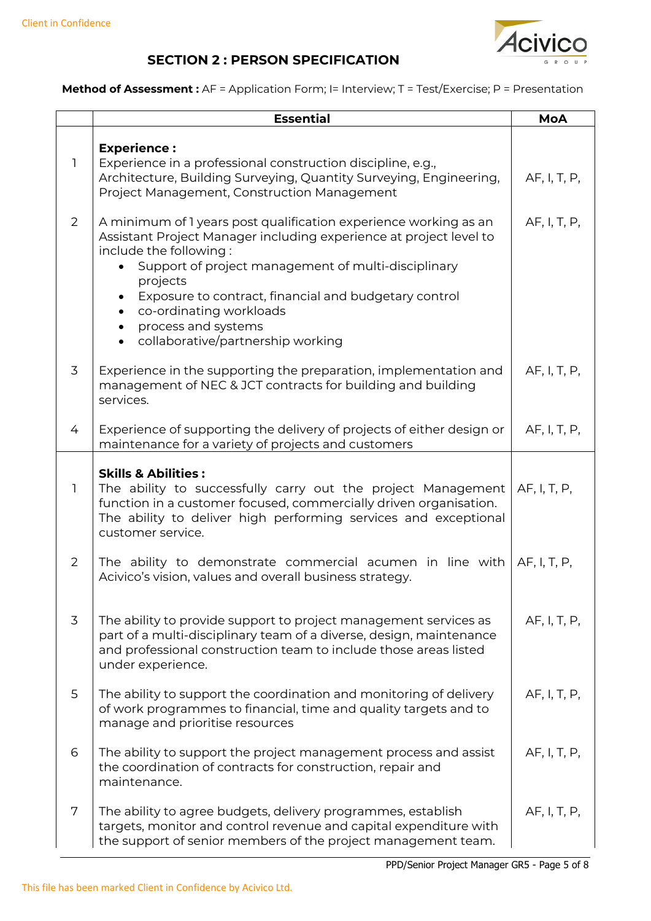

## **SECTION 2 : PERSON SPECIFICATION**

## **Method of Assessment :** AF = Application Form; I= Interview; T = Test/Exercise; P = Presentation

|                | <b>Essential</b>                                                                                                                                                                                                                                                                                                                                                                                              | <b>MoA</b>   |
|----------------|---------------------------------------------------------------------------------------------------------------------------------------------------------------------------------------------------------------------------------------------------------------------------------------------------------------------------------------------------------------------------------------------------------------|--------------|
| 1              | <b>Experience:</b><br>Experience in a professional construction discipline, e.g.,                                                                                                                                                                                                                                                                                                                             |              |
|                | Architecture, Building Surveying, Quantity Surveying, Engineering,<br>Project Management, Construction Management                                                                                                                                                                                                                                                                                             | AF, I, T, P, |
| $\overline{2}$ | A minimum of 1 years post qualification experience working as an<br>Assistant Project Manager including experience at project level to<br>include the following:<br>Support of project management of multi-disciplinary<br>projects<br>Exposure to contract, financial and budgetary control<br>co-ordinating workloads<br>process and systems<br>$\bullet$<br>collaborative/partnership working<br>$\bullet$ | AF, I, T, P, |
| 3              | Experience in the supporting the preparation, implementation and<br>management of NEC & JCT contracts for building and building<br>services.                                                                                                                                                                                                                                                                  | AF, I, T, P, |
| 4              | Experience of supporting the delivery of projects of either design or<br>maintenance for a variety of projects and customers                                                                                                                                                                                                                                                                                  | AF, I, T, P, |
| 1              | <b>Skills &amp; Abilities:</b><br>The ability to successfully carry out the project Management<br>function in a customer focused, commercially driven organisation.<br>The ability to deliver high performing services and exceptional<br>customer service.                                                                                                                                                   | AF, I, T, P, |
| $\overline{2}$ | The ability to demonstrate commercial acumen in line with<br>Acivico's vision, values and overall business strategy.                                                                                                                                                                                                                                                                                          | AF, I, T, P, |
| 3              | The ability to provide support to project management services as<br>part of a multi-disciplinary team of a diverse, design, maintenance<br>and professional construction team to include those areas listed<br>under experience.                                                                                                                                                                              | AF, I, T, P, |
| 5              | The ability to support the coordination and monitoring of delivery<br>of work programmes to financial, time and quality targets and to<br>manage and prioritise resources                                                                                                                                                                                                                                     | AF, I, T, P, |
| 6              | The ability to support the project management process and assist<br>the coordination of contracts for construction, repair and<br>maintenance.                                                                                                                                                                                                                                                                | AF, I, T, P, |
| 7              | The ability to agree budgets, delivery programmes, establish<br>targets, monitor and control revenue and capital expenditure with<br>the support of senior members of the project management team.                                                                                                                                                                                                            | AF, I, T, P, |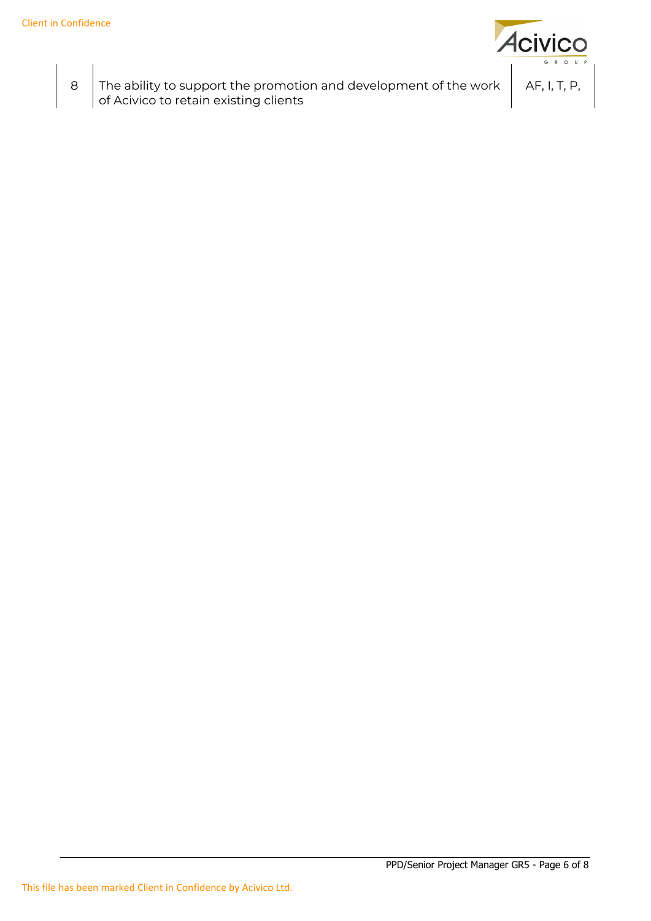

8 The ability to support the promotion and development of the work of Acivico to retain existing clients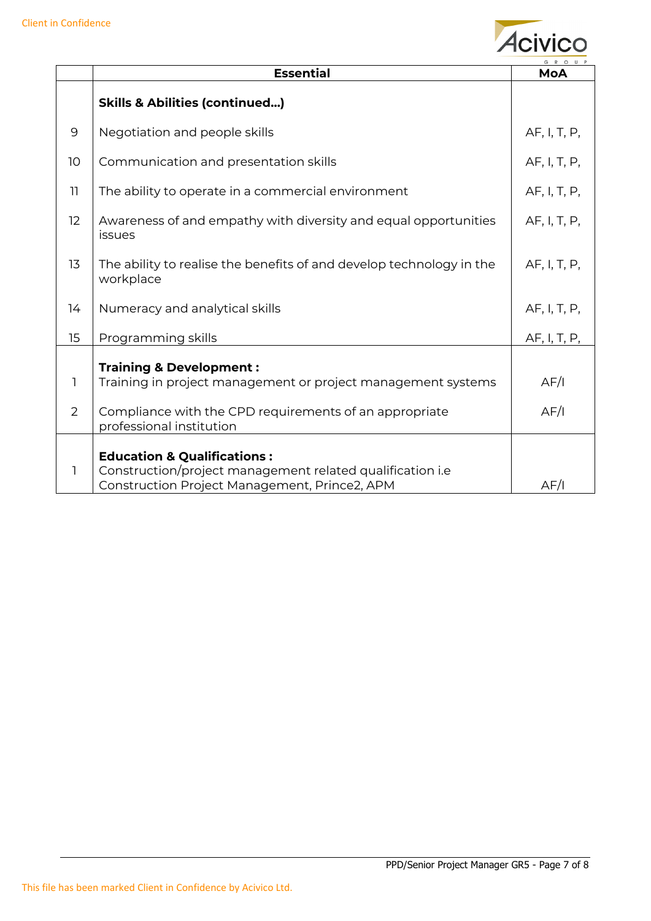

|                | <b>Essential</b>                                                                                                                                     | G R O U P<br><b>MoA</b> |
|----------------|------------------------------------------------------------------------------------------------------------------------------------------------------|-------------------------|
|                | <b>Skills &amp; Abilities (continued)</b>                                                                                                            |                         |
| 9              | Negotiation and people skills                                                                                                                        | AF, I, T, P,            |
| 10             | Communication and presentation skills                                                                                                                | AF, I, T, P,            |
| 11             | The ability to operate in a commercial environment                                                                                                   | AF, I, T, P,            |
| 12             | Awareness of and empathy with diversity and equal opportunities<br>issues                                                                            | AF, I, T, P,            |
| 13             | The ability to realise the benefits of and develop technology in the<br>workplace                                                                    | AF, I, T, P,            |
| 14             | Numeracy and analytical skills                                                                                                                       | AF, I, T, P,            |
| 15             | Programming skills                                                                                                                                   | AF, I, T, P,            |
|                | <b>Training &amp; Development:</b>                                                                                                                   |                         |
| 1              | Training in project management or project management systems                                                                                         | AF/I                    |
| $\overline{2}$ | Compliance with the CPD requirements of an appropriate<br>professional institution                                                                   | AF/I                    |
| 1              | <b>Education &amp; Qualifications:</b><br>Construction/project management related qualification i.e<br>Construction Project Management, Prince2, APM | AF/I                    |